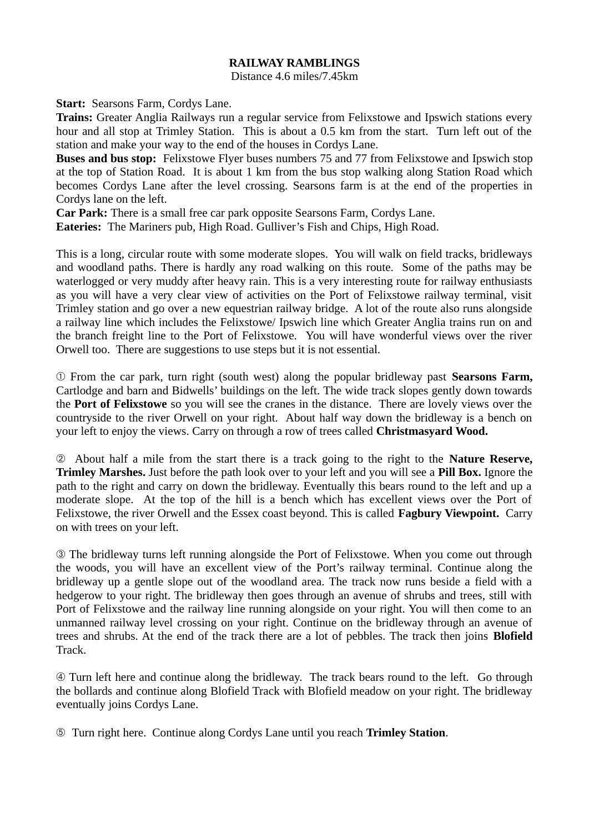## **RAILWAY RAMBLINGS**

Distance 4.6 miles/7.45km

**Start:** Searsons Farm, Cordys Lane.

**Trains:** Greater Anglia Railways run a regular service from Felixstowe and Ipswich stations every hour and all stop at Trimley Station. This is about a 0.5 km from the start. Turn left out of the station and make your way to the end of the houses in Cordys Lane.

**Buses and bus stop:** Felixstowe Flyer buses numbers 75 and 77 from Felixstowe and Ipswich stop at the top of Station Road. It is about 1 km from the bus stop walking along Station Road which becomes Cordys Lane after the level crossing. Searsons farm is at the end of the properties in Cordys lane on the left.

**Car Park:** There is a small free car park opposite Searsons Farm, Cordys Lane.

**Eateries:** The Mariners pub, High Road. Gulliver's Fish and Chips, High Road.

This is a long, circular route with some moderate slopes. You will walk on field tracks, bridleways and woodland paths. There is hardly any road walking on this route. Some of the paths may be waterlogged or very muddy after heavy rain. This is a very interesting route for railway enthusiasts as you will have a very clear view of activities on the Port of Felixstowe railway terminal, visit Trimley station and go over a new equestrian railway bridge. A lot of the route also runs alongside a railway line which includes the Felixstowe/ Ipswich line which Greater Anglia trains run on and the branch freight line to the Port of Felixstowe. You will have wonderful views over the river Orwell too. There are suggestions to use steps but it is not essential.

➀ From the car park, turn right (south west) along the popular bridleway past **Searsons Farm,** Cartlodge and barn and Bidwells' buildings on the left. The wide track slopes gently down towards the **Port of Felixstowe** so you will see the cranes in the distance. There are lovely views over the countryside to the river Orwell on your right. About half way down the bridleway is a bench on your left to enjoy the views. Carry on through a row of trees called **Christmasyard Wood.** 

➁ About half a mile from the start there is a track going to the right to the **Nature Reserve, Trimley Marshes.** Just before the path look over to your left and you will see a **Pill Box.** Ignore the path to the right and carry on down the bridleway. Eventually this bears round to the left and up a moderate slope. At the top of the hill is a bench which has excellent views over the Port of Felixstowe, the river Orwell and the Essex coast beyond. This is called **Fagbury Viewpoint.** Carry on with trees on your left.

➂ The bridleway turns left running alongside the Port of Felixstowe. When you come out through the woods, you will have an excellent view of the Port's railway terminal. Continue along the bridleway up a gentle slope out of the woodland area. The track now runs beside a field with a hedgerow to your right. The bridleway then goes through an avenue of shrubs and trees, still with Port of Felixstowe and the railway line running alongside on your right. You will then come to an unmanned railway level crossing on your right. Continue on the bridleway through an avenue of trees and shrubs. At the end of the track there are a lot of pebbles. The track then joins **Blofield** Track.

➃ Turn left here and continue along the bridleway. The track bears round to the left. Go through the bollards and continue along Blofield Track with Blofield meadow on your right. The bridleway eventually joins Cordys Lane.

➄ Turn right here. Continue along Cordys Lane until you reach **Trimley Station**.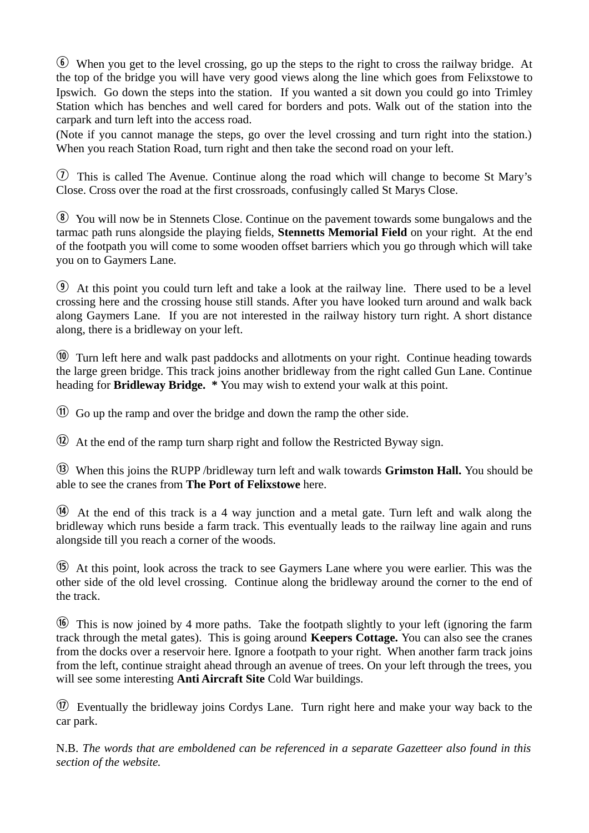$\odot$  When you get to the level crossing, go up the steps to the right to cross the railway bridge. At the top of the bridge you will have very good views along the line which goes from Felixstowe to Ipswich. Go down the steps into the station. If you wanted a sit down you could go into Trimley Station which has benches and well cared for borders and pots. Walk out of the station into the carpark and turn left into the access road.

(Note if you cannot manage the steps, go over the level crossing and turn right into the station.) When you reach Station Road, turn right and then take the second road on your left.

 $\overline{U}$  This is called The Avenue. Continue along the road which will change to become St Mary's Close. Cross over the road at the first crossroads, confusingly called St Marys Close.

 $\delta$  You will now be in Stennets Close. Continue on the pavement towards some bungalows and the tarmac path runs alongside the playing fields, **Stennetts Memorial Field** on your right. At the end of the footpath you will come to some wooden offset barriers which you go through which will take you on to Gaymers Lane.

 $\odot$  At this point you could turn left and take a look at the railway line. There used to be a level crossing here and the crossing house still stands. After you have looked turn around and walk back along Gaymers Lane. If you are not interested in the railway history turn right. A short distance along, there is a bridleway on your left.

 $\omega$  Turn left here and walk past paddocks and allotments on your right. Continue heading towards the large green bridge. This track joins another bridleway from the right called Gun Lane. Continue heading for **Bridleway Bridge. \*** You may wish to extend your walk at this point.

 $<sup>(1)</sup>$  Go up the ramp and over the bridge and down the ramp the other side.</sup>

 $\Omega$  At the end of the ramp turn sharp right and follow the Restricted Byway sign.

f When this joins the RUPP /bridleway turn left and walk towards **Grimston Hall.** You should be able to see the cranes from **The Port of Felixstowe** here.

g At the end of this track is a 4 way junction and a metal gate. Turn left and walk along the bridleway which runs beside a farm track. This eventually leads to the railway line again and runs alongside till you reach a corner of the woods.

h At this point, look across the track to see Gaymers Lane where you were earlier. This was the other side of the old level crossing. Continue along the bridleway around the corner to the end of the track.

 $\circ$  This is now joined by 4 more paths. Take the footpath slightly to your left (ignoring the farm track through the metal gates). This is going around **Keepers Cottage.** You can also see the cranes from the docks over a reservoir here. Ignore a footpath to your right. When another farm track joins from the left, continue straight ahead through an avenue of trees. On your left through the trees, you will see some interesting **Anti Aircraft Site** Cold War buildings.

 $\circled{1}$  Eventually the bridleway joins Cordys Lane. Turn right here and make your way back to the car park.

N.B. *The words that are emboldened can be referenced in a separate Gazetteer also found in this section of the website.*